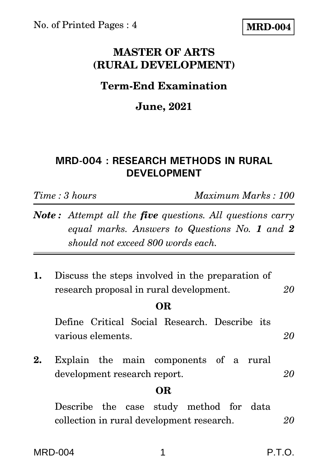## **MASTER OF ARTS (RURAL DEVELOPMENT)**

# **Term-End Examination**

# **June, 2021**

## **MRD-004 : RESEARCH METHODS IN RURAL DEVELOPMENT**

*Time : 3 hours Maximum Marks : 100*

- *Note : Attempt all the five questions. All questions carry equal marks. Answers to Questions No. 1 and 2 should not exceed 800 words each.*
- **1.** Discuss the steps involved in the preparation of research proposal in rural development. *20*

#### **OR**

Define Critical Social Research. Describe its various elements. *20*

**2.** Explain the main components of a rural development research report. *20*

#### **OR**

Describe the case study method for data collection in rural development research. *20*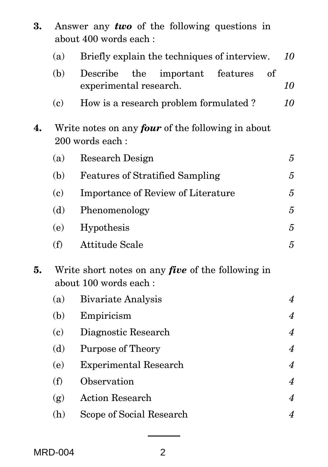| 3. | Answer any two of the following questions in<br>about 400 words each:             |                                                                          |                |  |
|----|-----------------------------------------------------------------------------------|--------------------------------------------------------------------------|----------------|--|
|    | (a)                                                                               | Briefly explain the techniques of interview.                             | 10             |  |
|    | (b)                                                                               | Describe<br>the<br>important<br>features<br>of<br>experimental research. | 10             |  |
|    | (c)                                                                               | How is a research problem formulated?                                    | 10             |  |
| 4. | Write notes on any <i>four</i> of the following in about<br>200 words each:       |                                                                          |                |  |
|    | (a)                                                                               | Research Design                                                          | 5              |  |
|    | (b)                                                                               | <b>Features of Stratified Sampling</b>                                   | 5              |  |
|    | (c)                                                                               | Importance of Review of Literature                                       | 5              |  |
|    | (d)                                                                               | Phenomenology                                                            | $\overline{5}$ |  |
|    | (e)                                                                               | Hypothesis                                                               | 5              |  |
|    | (f)                                                                               | <b>Attitude Scale</b>                                                    | $\overline{5}$ |  |
| 5. | Write short notes on any <i>five</i> of the following in<br>about 100 words each: |                                                                          |                |  |
|    | (a)                                                                               | <b>Bivariate Analysis</b>                                                | $\overline{4}$ |  |
|    | (b)                                                                               | Empiricism                                                               | $\overline{4}$ |  |
|    | (c)                                                                               | Diagnostic Research                                                      | $\overline{4}$ |  |
|    | (d)                                                                               | <b>Purpose of Theory</b>                                                 | $\overline{4}$ |  |
|    | (e)                                                                               | <b>Experimental Research</b>                                             | $\overline{4}$ |  |
|    | (f)                                                                               | Observation                                                              | $\overline{4}$ |  |
|    | (g)                                                                               | <b>Action Research</b>                                                   | $\overline{4}$ |  |
|    | (h)                                                                               | Scope of Social Research                                                 | $\overline{4}$ |  |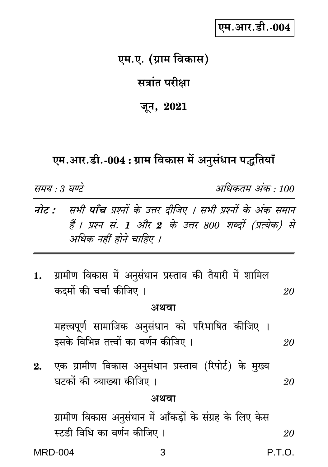### एम.आर.डी.-004

## एम.ए. (ग्राम विकास)

#### सत्रांत परीक्षा

#### जून,  $2021$

#### एम.आर.डी.-004 : ग्राम विकास में अनुसंधान पद्धतियाँ

समय : 3 घण्टे

अधिकतम अंक · 100

- **नोट :** सभी **पाँच** प्रश्नों के उत्तर दीजिए । सभी प्रश्नों के अंक समान हैं। प्रश्न सं. 1 और 2 के उत्तर 800 शब्दों (प्रत्येक) से अधिक नहीं होने चाहिए ।
- ग्रामीण विकास में अनुसंधान प्रस्ताव की तैयारी में शामिल  $1.$ कटमों की चर्चा कीजिए । 20

#### अथवा

महत्त्वपूर्ण सामाजिक अनुसंधान को परिभाषित कीजिए । इसके विभिन्न तत्त्वों का वर्णन कीजिए । 20

एक ग्रामीण विकास अनुसंधान प्रस्ताव (रिपोर्ट) के मुख्य  $2.$ घटकों की व्याख्या कीजिए । 20

#### अथवा

3

ग्रामीण विकास अनुसंधान में आँकड़ों के संग्रह के लिए केस स्टडी विधि का वर्णन कीजिए । 20

**MRD-004**